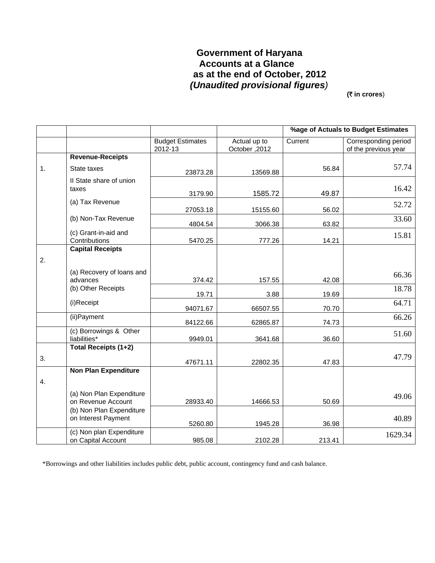# **Government of Haryana Accounts at a Glance as at the end of October, 2012**   *(Unaudited provisional figures)*

**(**` **in crores**)

|    |                                                 |                                    |                               | %age of Actuals to Budget Estimates |                                              |  |
|----|-------------------------------------------------|------------------------------------|-------------------------------|-------------------------------------|----------------------------------------------|--|
|    |                                                 | <b>Budget Estimates</b><br>2012-13 | Actual up to<br>October, 2012 | Current                             | Corresponding period<br>of the previous year |  |
|    | <b>Revenue-Receipts</b>                         |                                    |                               |                                     |                                              |  |
| 1. | State taxes                                     | 23873.28                           | 13569.88                      | 56.84                               | 57.74                                        |  |
|    | Il State share of union<br>taxes                | 3179.90                            | 1585.72                       | 49.87                               | 16.42                                        |  |
|    | (a) Tax Revenue                                 | 27053.18                           | 15155.60                      | 56.02                               | 52.72                                        |  |
|    | (b) Non-Tax Revenue                             | 4804.54                            | 3066.38                       | 63.82                               | 33.60                                        |  |
|    | (c) Grant-in-aid and<br>Contributions           | 5470.25                            | 777.26                        | 14.21                               | 15.81                                        |  |
| 2. | <b>Capital Receipts</b>                         |                                    |                               |                                     |                                              |  |
|    | (a) Recovery of loans and<br>advances           | 374.42                             | 157.55                        | 42.08                               | 66.36                                        |  |
|    | (b) Other Receipts                              | 19.71                              | 3.88                          | 19.69                               | 18.78                                        |  |
|    | (i)Receipt                                      | 94071.67                           | 66507.55                      | 70.70                               | 64.71                                        |  |
|    | (ii) Payment                                    | 84122.66                           | 62865.87                      | 74.73                               | 66.26                                        |  |
|    | (c) Borrowings & Other<br>liabilities*          | 9949.01                            | 3641.68                       | 36.60                               | 51.60                                        |  |
|    | Total Receipts (1+2)                            |                                    |                               |                                     |                                              |  |
| 3. |                                                 | 47671.11                           | 22802.35                      | 47.83                               | 47.79                                        |  |
| 4. | <b>Non Plan Expenditure</b>                     |                                    |                               |                                     |                                              |  |
|    | (a) Non Plan Expenditure<br>on Revenue Account  | 28933.40                           | 14666.53                      | 50.69                               | 49.06                                        |  |
|    | (b) Non Plan Expenditure<br>on Interest Payment | 5260.80                            | 1945.28                       | 36.98                               | 40.89                                        |  |
|    | (c) Non plan Expenditure<br>on Capital Account  | 985.08                             | 2102.28                       | 213.41                              | 1629.34                                      |  |

\*Borrowings and other liabilities includes public debt, public account, contingency fund and cash balance.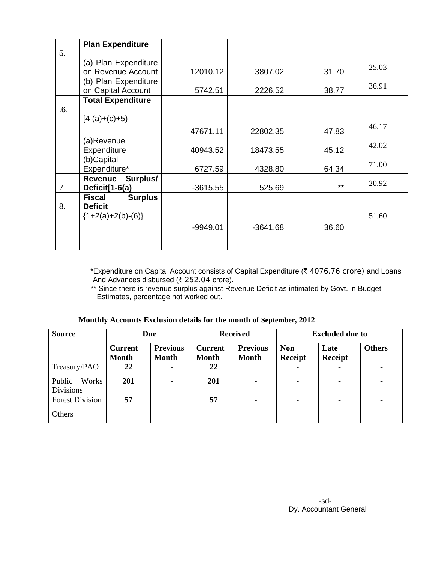|                | <b>Plan Expenditure</b>         |            |            |       |       |
|----------------|---------------------------------|------------|------------|-------|-------|
| 5.             |                                 |            |            |       |       |
|                | (a) Plan Expenditure            |            |            |       | 25.03 |
|                | on Revenue Account              | 12010.12   | 3807.02    | 31.70 |       |
|                | (b) Plan Expenditure            |            |            |       | 36.91 |
|                | on Capital Account              | 5742.51    | 2226.52    | 38.77 |       |
|                | <b>Total Expenditure</b>        |            |            |       |       |
| .6.            |                                 |            |            |       |       |
|                | $[4 (a)+(c)+5)$                 |            |            |       |       |
|                |                                 | 47671.11   | 22802.35   | 47.83 | 46.17 |
|                | (a)Revenue                      |            |            |       | 42.02 |
|                | Expenditure                     | 40943.52   | 18473.55   | 45.12 |       |
|                | (b)Capital                      |            |            |       |       |
|                | Expenditure*                    | 6727.59    | 4328.80    | 64.34 | 71.00 |
|                | Surplus/<br>Revenue             |            |            |       | 20.92 |
| $\overline{7}$ | Deficit[1-6(a)                  | $-3615.55$ | 525.69     | $***$ |       |
|                | <b>Surplus</b><br><b>Fiscal</b> |            |            |       |       |
| 8.             | <b>Deficit</b>                  |            |            |       |       |
|                | ${1+2(a)+2(b)-(6)}$             |            |            |       | 51.60 |
|                |                                 | -9949.01   | $-3641.68$ | 36.60 |       |
|                |                                 |            |            |       |       |
|                |                                 |            |            |       |       |

\*Expenditure on Capital Account consists of Capital Expenditure ( $\bar{\tau}$  4076.76 crore) and Loans And Advances disbursed (₹ 252.04 crore).

 \*\* Since there is revenue surplus against Revenue Deficit as intimated by Govt. in Budget Estimates, percentage not worked out.

|  |  |  |  |  |  |  | Monthly Accounts Exclusion details for the month of September, 2012 |  |
|--|--|--|--|--|--|--|---------------------------------------------------------------------|--|
|--|--|--|--|--|--|--|---------------------------------------------------------------------|--|

| <b>Source</b>                       | <b>Due</b>                     |                                 | <b>Received</b>                |                                 | <b>Excluded due to</b>       |                        |               |
|-------------------------------------|--------------------------------|---------------------------------|--------------------------------|---------------------------------|------------------------------|------------------------|---------------|
|                                     | <b>Current</b><br><b>Month</b> | <b>Previous</b><br><b>Month</b> | <b>Current</b><br><b>Month</b> | <b>Previous</b><br><b>Month</b> | <b>Non</b><br><b>Receipt</b> | Late<br><b>Receipt</b> | <b>Others</b> |
| Treasury/PAO                        | 22                             |                                 | 22                             |                                 | $\blacksquare$               |                        |               |
| Public<br>Works<br><b>Divisions</b> | 201                            |                                 | 201                            |                                 | $\blacksquare$               |                        |               |
| <b>Forest Division</b>              | 57                             |                                 | 57                             | $\sim$                          | $\blacksquare$               | -                      | ۰.            |
| Others                              |                                |                                 |                                |                                 |                              |                        |               |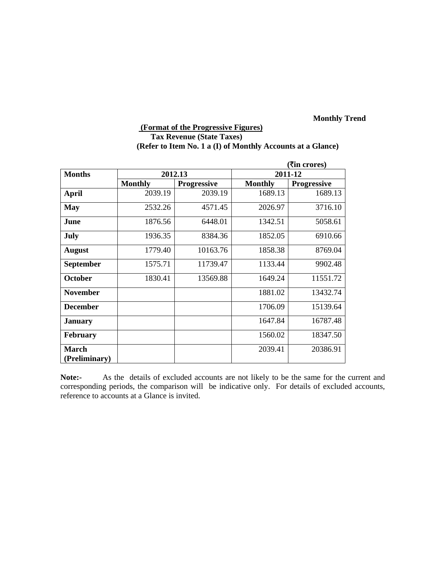# **(Format of the Progressive Figures) Tax Revenue (State Taxes) (Refer to Item No. 1 a (I) of Monthly Accounts at a Glance)**

|                  |                |                    | ( <b>₹in crores</b> ) |                    |  |
|------------------|----------------|--------------------|-----------------------|--------------------|--|
| <b>Months</b>    |                | 2012.13            | 2011-12               |                    |  |
|                  | <b>Monthly</b> | <b>Progressive</b> | <b>Monthly</b>        | <b>Progressive</b> |  |
| <b>April</b>     | 2039.19        | 2039.19            | 1689.13               | 1689.13            |  |
| <b>May</b>       | 2532.26        | 4571.45            | 2026.97               | 3716.10            |  |
| June             | 1876.56        | 6448.01            | 1342.51               | 5058.61            |  |
| July             | 1936.35        | 8384.36            | 1852.05               | 6910.66            |  |
| <b>August</b>    | 1779.40        | 10163.76           | 1858.38               | 8769.04            |  |
| <b>September</b> | 1575.71        | 11739.47           | 1133.44               | 9902.48            |  |
| <b>October</b>   | 1830.41        | 13569.88           | 1649.24               | 11551.72           |  |
| <b>November</b>  |                |                    | 1881.02               | 13432.74           |  |
| <b>December</b>  |                |                    | 1706.09               | 15139.64           |  |
| <b>January</b>   |                |                    | 1647.84               | 16787.48           |  |
| <b>February</b>  |                |                    | 1560.02               | 18347.50           |  |
| <b>March</b>     |                |                    | 2039.41               | 20386.91           |  |
| (Preliminary)    |                |                    |                       |                    |  |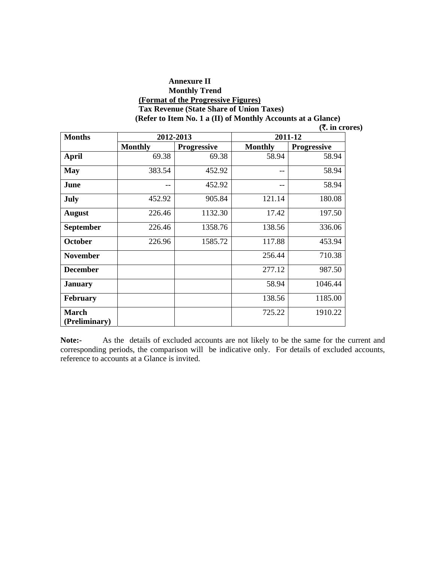#### **Annexure II Monthly Trend (Format of the Progressive Figures) Tax Revenue (State Share of Union Taxes) (Refer to Item No. 1 a (II) of Monthly Accounts at a Glance)**

|  | $($ <b>₹.</b> in crores) |
|--|--------------------------|
|--|--------------------------|

| <b>Months</b>                 |                | 2012-2013          | 2011-12        |                    |  |
|-------------------------------|----------------|--------------------|----------------|--------------------|--|
|                               | <b>Monthly</b> | <b>Progressive</b> | <b>Monthly</b> | <b>Progressive</b> |  |
| April                         | 69.38          | 69.38              | 58.94          | 58.94              |  |
| <b>May</b>                    | 383.54         | 452.92             | --             | 58.94              |  |
| June                          | --             | 452.92             | --             | 58.94              |  |
| July                          | 452.92         | 905.84             | 121.14         | 180.08             |  |
| <b>August</b>                 | 226.46         | 1132.30            | 17.42          | 197.50             |  |
| <b>September</b>              | 226.46         | 1358.76            | 138.56         | 336.06             |  |
| October                       | 226.96         | 1585.72            | 117.88         | 453.94             |  |
| <b>November</b>               |                |                    | 256.44         | 710.38             |  |
| <b>December</b>               |                |                    | 277.12         | 987.50             |  |
| <b>January</b>                |                |                    | 58.94          | 1046.44            |  |
| <b>February</b>               |                |                    | 138.56         | 1185.00            |  |
| <b>March</b><br>(Preliminary) |                |                    | 725.22         | 1910.22            |  |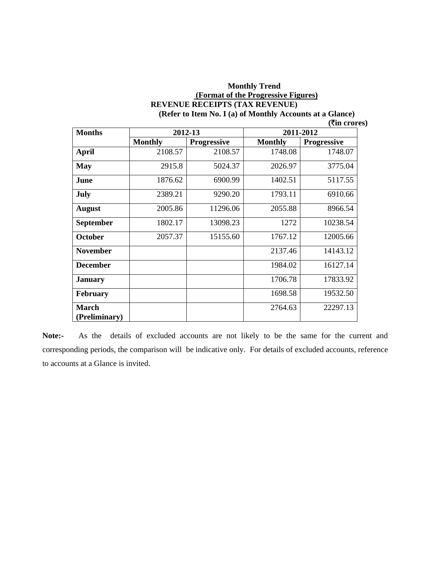#### **Monthly Trend (Format of the Progressive Figures) REVENUE RECEIPTS (TAX REVENUE) (Refer to Item No. I (a) of Monthly Accounts at a Glance)**

|  | $($ <b>₹in crores</b> ) |
|--|-------------------------|
|--|-------------------------|

| <b>Months</b>   | 2012-13        |                    | 2011-2012      |                    |  |
|-----------------|----------------|--------------------|----------------|--------------------|--|
|                 | <b>Monthly</b> | <b>Progressive</b> | <b>Monthly</b> | <b>Progressive</b> |  |
| <b>April</b>    | 2108.57        | 2108.57            | 1748.08        | 1748.07            |  |
| <b>May</b>      | 2915.8         | 5024.37            | 2026.97        | 3775.04            |  |
| June            | 1876.62        | 6900.99            | 1402.51        | 5117.55            |  |
| July            | 2389.21        | 9290.20            | 1793.11        | 6910.66            |  |
| August          | 2005.86        | 11296.06           | 2055.88        | 8966.54            |  |
| September       | 1802.17        | 13098.23           | 1272           | 10238.54           |  |
| <b>October</b>  | 2057.37        | 15155.60           | 1767.12        | 12005.66           |  |
| <b>November</b> |                |                    | 2137.46        | 14143.12           |  |
| <b>December</b> |                |                    | 1984.02        | 16127.14           |  |
| <b>January</b>  |                |                    | 1706.78        | 17833.92           |  |
| <b>February</b> |                |                    | 1698.58        | 19532.50           |  |
| <b>March</b>    |                |                    | 2764.63        | 22297.13           |  |
| (Preliminary)   |                |                    |                |                    |  |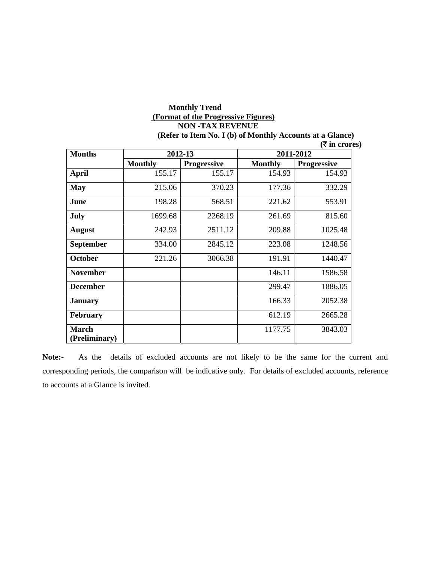# **Monthly Trend (Format of the Progressive Figures) NON -TAX REVENUE**

**(Refer to Item No. I (b) of Monthly Accounts at a Glance)** 

| <b>Months</b>                 | 2012-13        |                    | 2011-2012      |                    |  |
|-------------------------------|----------------|--------------------|----------------|--------------------|--|
|                               | <b>Monthly</b> | <b>Progressive</b> | <b>Monthly</b> | <b>Progressive</b> |  |
| <b>April</b>                  | 155.17         | 155.17             | 154.93         | 154.93             |  |
| <b>May</b>                    | 215.06         | 370.23             | 177.36         | 332.29             |  |
| June                          | 198.28         | 568.51             | 221.62         | 553.91             |  |
| July                          | 1699.68        | 2268.19            | 261.69         | 815.60             |  |
| <b>August</b>                 | 242.93         | 2511.12            | 209.88         | 1025.48            |  |
| <b>September</b>              | 334.00         | 2845.12            | 223.08         | 1248.56            |  |
| <b>October</b>                | 221.26         | 3066.38            | 191.91         | 1440.47            |  |
| <b>November</b>               |                |                    | 146.11         | 1586.58            |  |
| <b>December</b>               |                |                    | 299.47         | 1886.05            |  |
| <b>January</b>                |                |                    | 166.33         | 2052.38            |  |
| <b>February</b>               |                |                    | 612.19         | 2665.28            |  |
| <b>March</b><br>(Preliminary) |                |                    | 1177.75        | 3843.03            |  |

 **(**` **in crores)**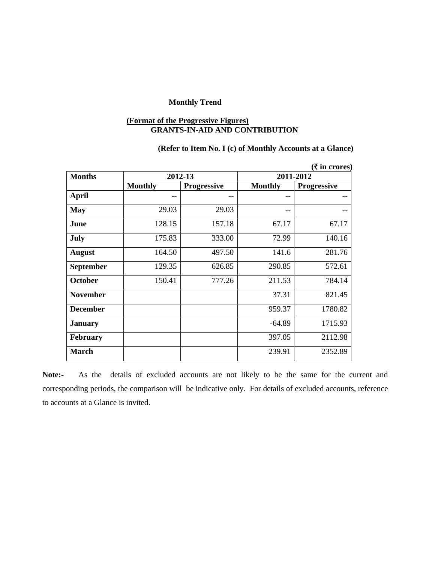#### **(Format of the Progressive Figures) GRANTS-IN-AID AND CONTRIBUTION**

### **(Refer to Item No. I (c) of Monthly Accounts at a Glance)**

| ( ₹ in cross)   |                |                    |                |                    |  |
|-----------------|----------------|--------------------|----------------|--------------------|--|
| <b>Months</b>   |                | 2012-13            | 2011-2012      |                    |  |
|                 | <b>Monthly</b> | <b>Progressive</b> | <b>Monthly</b> | <b>Progressive</b> |  |
| <b>April</b>    | --             | --                 | --             |                    |  |
| <b>May</b>      | 29.03          | 29.03              | --             |                    |  |
| June            | 128.15         | 157.18             | 67.17          | 67.17              |  |
| <b>July</b>     | 175.83         | 333.00             | 72.99          | 140.16             |  |
| <b>August</b>   | 164.50         | 497.50             | 141.6          | 281.76             |  |
| September       | 129.35         | 626.85             | 290.85         | 572.61             |  |
| <b>October</b>  | 150.41         | 777.26             | 211.53         | 784.14             |  |
| <b>November</b> |                |                    | 37.31          | 821.45             |  |
| <b>December</b> |                |                    | 959.37         | 1780.82            |  |
| <b>January</b>  |                |                    | $-64.89$       | 1715.93            |  |
| <b>February</b> |                |                    | 397.05         | 2112.98            |  |
| <b>March</b>    |                |                    | 239.91         | 2352.89            |  |

**Note:-** As the details of excluded accounts are not likely to be the same for the current and corresponding periods, the comparison will be indicative only. For details of excluded accounts, reference to accounts at a Glance is invited.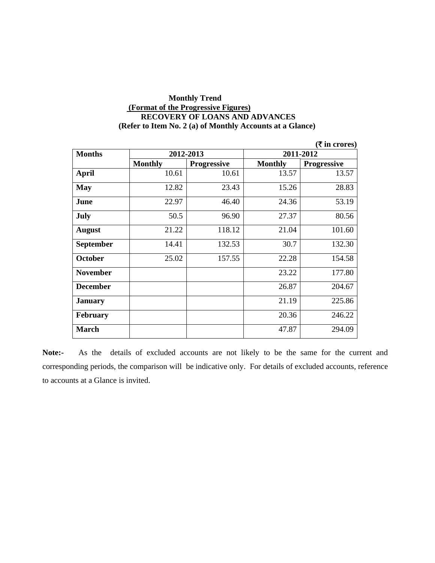#### **Monthly Trend (Format of the Progressive Figures) RECOVERY OF LOANS AND ADVANCES (Refer to Item No. 2 (a) of Monthly Accounts at a Glance)**

|                  |                |                    |                | ( <b>₹</b> in crores) |  |
|------------------|----------------|--------------------|----------------|-----------------------|--|
| <b>Months</b>    |                | 2012-2013          | 2011-2012      |                       |  |
|                  | <b>Monthly</b> | <b>Progressive</b> | <b>Monthly</b> | <b>Progressive</b>    |  |
| <b>April</b>     | 10.61          | 10.61              | 13.57          | 13.57                 |  |
| <b>May</b>       | 12.82          | 23.43              | 15.26          | 28.83                 |  |
| June             | 22.97          | 46.40              | 24.36          | 53.19                 |  |
| July             | 50.5           | 96.90              | 27.37          | 80.56                 |  |
| <b>August</b>    | 21.22          | 118.12             | 21.04          | 101.60                |  |
| <b>September</b> | 14.41          | 132.53             | 30.7           | 132.30                |  |
| <b>October</b>   | 25.02          | 157.55             | 22.28          | 154.58                |  |
| <b>November</b>  |                |                    | 23.22          | 177.80                |  |
| <b>December</b>  |                |                    | 26.87          | 204.67                |  |
| <b>January</b>   |                |                    | 21.19          | 225.86                |  |
| <b>February</b>  |                |                    | 20.36          | 246.22                |  |
| <b>March</b>     |                |                    | 47.87          | 294.09                |  |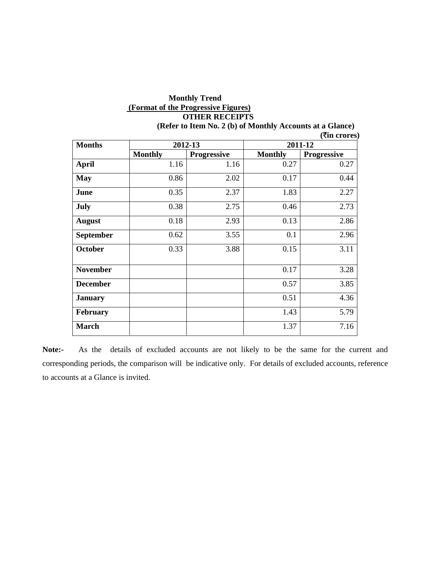# **Monthly Trend (Format of the Progressive Figures) OTHER RECEIPTS**

|                 |                |                    |                | ( <b>₹in crores</b> ) |
|-----------------|----------------|--------------------|----------------|-----------------------|
| <b>Months</b>   |                | 2012-13            | 2011-12        |                       |
|                 | <b>Monthly</b> | <b>Progressive</b> | <b>Monthly</b> | <b>Progressive</b>    |
| <b>April</b>    | 1.16           | 1.16               | 0.27           | 0.27                  |
| <b>May</b>      | 0.86           | 2.02               | 0.17           | 0.44                  |
| June            | 0.35           | 2.37               | 1.83           | 2.27                  |
| July            | 0.38           | 2.75               | 0.46           | 2.73                  |
| <b>August</b>   | 0.18           | 2.93               | 0.13           | 2.86                  |
| September       | 0.62           | 3.55               | 0.1            | 2.96                  |
| October         | 0.33           | 3.88               | 0.15           | 3.11                  |
| <b>November</b> |                |                    | 0.17           | 3.28                  |
| <b>December</b> |                |                    | 0.57           | 3.85                  |
| <b>January</b>  |                |                    | 0.51           | 4.36                  |
| February        |                |                    | 1.43           | 5.79                  |
| <b>March</b>    |                |                    | 1.37           | 7.16                  |

**(Refer to Item No. 2 (b) of Monthly Accounts at a Glance)**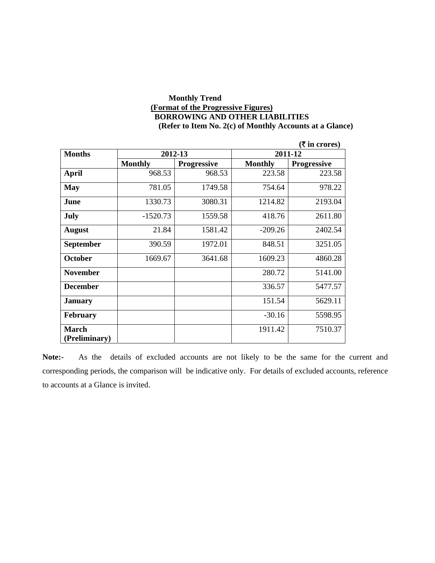#### **Monthly Trend (Format of the Progressive Figures) BORROWING AND OTHER LIABILITIES (Refer to Item No. 2(c) of Monthly Accounts at a Glance)**

|                  |                |                    |                | (₹ in crores)      |
|------------------|----------------|--------------------|----------------|--------------------|
| <b>Months</b>    | 2012-13        |                    |                | 2011-12            |
|                  | <b>Monthly</b> | <b>Progressive</b> | <b>Monthly</b> | <b>Progressive</b> |
| <b>April</b>     | 968.53         | 968.53             | 223.58         | 223.58             |
| <b>May</b>       | 781.05         | 1749.58            | 754.64         | 978.22             |
| June             | 1330.73        | 3080.31            | 1214.82        | 2193.04            |
| July             | $-1520.73$     | 1559.58            | 418.76         | 2611.80            |
| <b>August</b>    | 21.84          | 1581.42            | $-209.26$      | 2402.54            |
| <b>September</b> | 390.59         | 1972.01            | 848.51         | 3251.05            |
| <b>October</b>   | 1669.67        | 3641.68            | 1609.23        | 4860.28            |
| <b>November</b>  |                |                    | 280.72         | 5141.00            |
| <b>December</b>  |                |                    | 336.57         | 5477.57            |
| <b>January</b>   |                |                    | 151.54         | 5629.11            |
| <b>February</b>  |                |                    | $-30.16$       | 5598.95            |
| <b>March</b>     |                |                    | 1911.42        | 7510.37            |
| (Preliminary)    |                |                    |                |                    |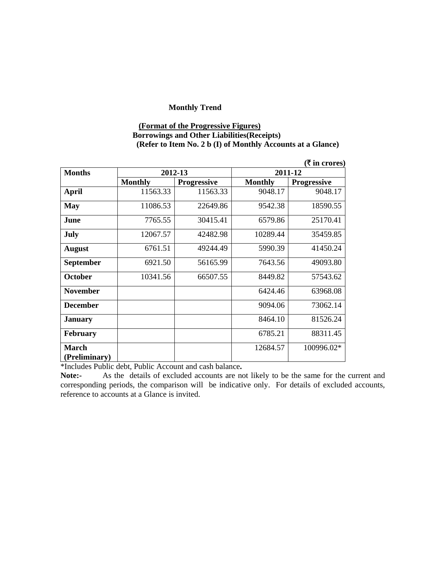#### **(Format of the Progressive Figures) Borrowings and Other Liabilities(Receipts) (Refer to Item No. 2 b (I) of Monthly Accounts at a Glance)**

|                               |                |                    |                | $(\overline{\mathbf{\xi}}$ in crores) |
|-------------------------------|----------------|--------------------|----------------|---------------------------------------|
| <b>Months</b>                 | 2012-13        |                    |                | 2011-12                               |
|                               | <b>Monthly</b> | <b>Progressive</b> | <b>Monthly</b> | <b>Progressive</b>                    |
| <b>April</b>                  | 11563.33       | 11563.33           | 9048.17        | 9048.17                               |
| <b>May</b>                    | 11086.53       | 22649.86           | 9542.38        | 18590.55                              |
| June                          | 7765.55        | 30415.41           | 6579.86        | 25170.41                              |
| July                          | 12067.57       | 42482.98           | 10289.44       | 35459.85                              |
| <b>August</b>                 | 6761.51        | 49244.49           | 5990.39        | 41450.24                              |
| <b>September</b>              | 6921.50        | 56165.99           | 7643.56        | 49093.80                              |
| <b>October</b>                | 10341.56       | 66507.55           | 8449.82        | 57543.62                              |
| <b>November</b>               |                |                    | 6424.46        | 63968.08                              |
| <b>December</b>               |                |                    | 9094.06        | 73062.14                              |
| <b>January</b>                |                |                    | 8464.10        | 81526.24                              |
| <b>February</b>               |                |                    | 6785.21        | 88311.45                              |
| <b>March</b><br>(Preliminary) |                |                    | 12684.57       | 100996.02*                            |

\*Includes Public debt, Public Account and cash balance**.**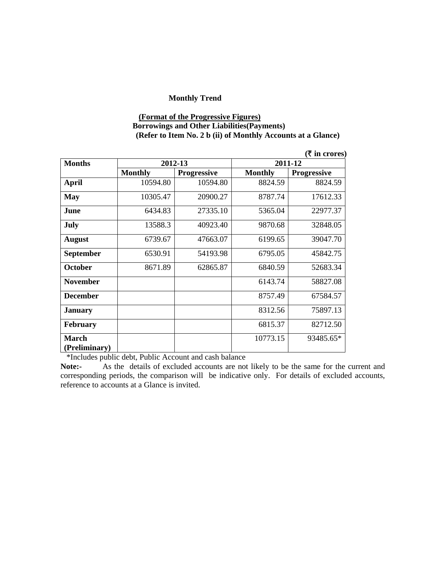#### **(Format of the Progressive Figures) Borrowings and Other Liabilities(Payments) (Refer to Item No. 2 b (ii) of Monthly Accounts at a Glance)**

|                               |                |                    |                | $($ ₹ in crores)   |
|-------------------------------|----------------|--------------------|----------------|--------------------|
| <b>Months</b>                 | 2012-13        |                    |                | 2011-12            |
|                               | <b>Monthly</b> | <b>Progressive</b> | <b>Monthly</b> | <b>Progressive</b> |
| <b>April</b>                  | 10594.80       | 10594.80           | 8824.59        | 8824.59            |
| <b>May</b>                    | 10305.47       | 20900.27           | 8787.74        | 17612.33           |
| June                          | 6434.83        | 27335.10           | 5365.04        | 22977.37           |
| July                          | 13588.3        | 40923.40           | 9870.68        | 32848.05           |
| <b>August</b>                 | 6739.67        | 47663.07           | 6199.65        | 39047.70           |
| September                     | 6530.91        | 54193.98           | 6795.05        | 45842.75           |
| <b>October</b>                | 8671.89        | 62865.87           | 6840.59        | 52683.34           |
| <b>November</b>               |                |                    | 6143.74        | 58827.08           |
| <b>December</b>               |                |                    | 8757.49        | 67584.57           |
| <b>January</b>                |                |                    | 8312.56        | 75897.13           |
| <b>February</b>               |                |                    | 6815.37        | 82712.50           |
| <b>March</b><br>(Preliminary) |                |                    | 10773.15       | 93485.65*          |

\*Includes public debt, Public Account and cash balance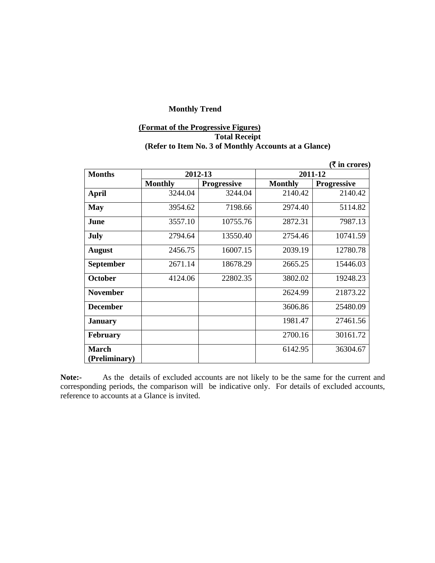# **(Format of the Progressive Figures) Total Receipt (Refer to Item No. 3 of Monthly Accounts at a Glance)**

|                               |                |                    |                | $(\bar{\bar{\mathbf{x}}}$ in crores) |
|-------------------------------|----------------|--------------------|----------------|--------------------------------------|
| <b>Months</b>                 | 2012-13        |                    | 2011-12        |                                      |
|                               | <b>Monthly</b> | <b>Progressive</b> | <b>Monthly</b> | <b>Progressive</b>                   |
| <b>April</b>                  | 3244.04        | 3244.04            | 2140.42        | 2140.42                              |
| <b>May</b>                    | 3954.62        | 7198.66            | 2974.40        | 5114.82                              |
| June                          | 3557.10        | 10755.76           | 2872.31        | 7987.13                              |
| July                          | 2794.64        | 13550.40           | 2754.46        | 10741.59                             |
| <b>August</b>                 | 2456.75        | 16007.15           | 2039.19        | 12780.78                             |
| <b>September</b>              | 2671.14        | 18678.29           | 2665.25        | 15446.03                             |
| <b>October</b>                | 4124.06        | 22802.35           | 3802.02        | 19248.23                             |
| <b>November</b>               |                |                    | 2624.99        | 21873.22                             |
| <b>December</b>               |                |                    | 3606.86        | 25480.09                             |
| <b>January</b>                |                |                    | 1981.47        | 27461.56                             |
| <b>February</b>               |                |                    | 2700.16        | 30161.72                             |
| <b>March</b><br>(Preliminary) |                |                    | 6142.95        | 36304.67                             |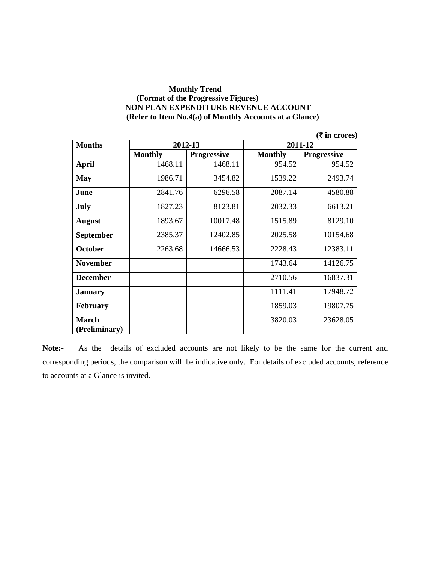#### **Monthly Trend (Format of the Progressive Figures) NON PLAN EXPENDITURE REVENUE ACCOUNT (Refer to Item No.4(a) of Monthly Accounts at a Glance)**

|                  |                |                    |                | ( ₹ in cross)      |
|------------------|----------------|--------------------|----------------|--------------------|
| <b>Months</b>    |                | 2012-13            |                | 2011-12            |
|                  | <b>Monthly</b> | <b>Progressive</b> | <b>Monthly</b> | <b>Progressive</b> |
| <b>April</b>     | 1468.11        | 1468.11            | 954.52         | 954.52             |
| <b>May</b>       | 1986.71        | 3454.82            | 1539.22        | 2493.74            |
| June             | 2841.76        | 6296.58            | 2087.14        | 4580.88            |
| <b>July</b>      | 1827.23        | 8123.81            | 2032.33        | 6613.21            |
| <b>August</b>    | 1893.67        | 10017.48           | 1515.89        | 8129.10            |
| <b>September</b> | 2385.37        | 12402.85           | 2025.58        | 10154.68           |
| <b>October</b>   | 2263.68        | 14666.53           | 2228.43        | 12383.11           |
| <b>November</b>  |                |                    | 1743.64        | 14126.75           |
| <b>December</b>  |                |                    | 2710.56        | 16837.31           |
| <b>January</b>   |                |                    | 1111.41        | 17948.72           |
| <b>February</b>  |                |                    | 1859.03        | 19807.75           |
| <b>March</b>     |                |                    | 3820.03        | 23628.05           |
| (Preliminary)    |                |                    |                |                    |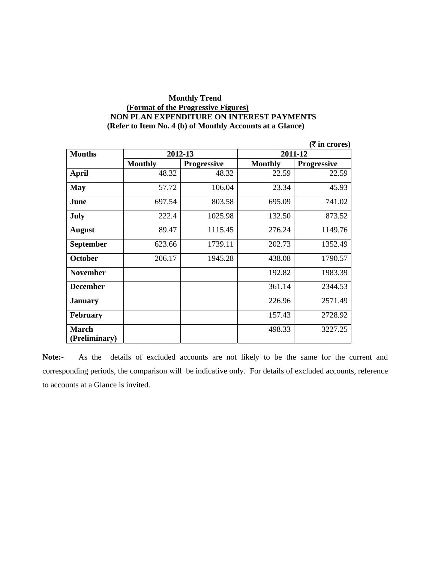### **Monthly Trend (Format of the Progressive Figures) NON PLAN EXPENDITURE ON INTEREST PAYMENTS (Refer to Item No. 4 (b) of Monthly Accounts at a Glance)**

|                 |                |                    |                | (₹ in crores)      |
|-----------------|----------------|--------------------|----------------|--------------------|
| <b>Months</b>   | 2012-13        |                    |                | 2011-12            |
|                 | <b>Monthly</b> | <b>Progressive</b> | <b>Monthly</b> | <b>Progressive</b> |
| <b>April</b>    | 48.32          | 48.32              | 22.59          | 22.59              |
| <b>May</b>      | 57.72          | 106.04             | 23.34          | 45.93              |
| June            | 697.54         | 803.58             | 695.09         | 741.02             |
| July            | 222.4          | 1025.98            | 132.50         | 873.52             |
| <b>August</b>   | 89.47          | 1115.45            | 276.24         | 1149.76            |
| September       | 623.66         | 1739.11            | 202.73         | 1352.49            |
| <b>October</b>  | 206.17         | 1945.28            | 438.08         | 1790.57            |
| <b>November</b> |                |                    | 192.82         | 1983.39            |
| <b>December</b> |                |                    | 361.14         | 2344.53            |
| <b>January</b>  |                |                    | 226.96         | 2571.49            |
| <b>February</b> |                |                    | 157.43         | 2728.92            |
| <b>March</b>    |                |                    | 498.33         | 3227.25            |
| (Preliminary)   |                |                    |                |                    |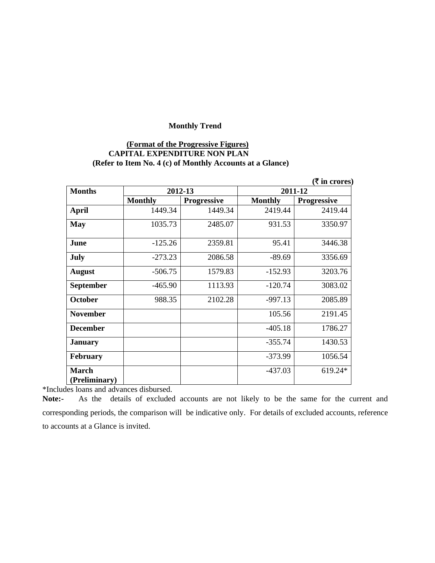#### **(Format of the Progressive Figures) CAPITAL EXPENDITURE NON PLAN (Refer to Item No. 4 (c) of Monthly Accounts at a Glance)**

|                               |                |                    |                | ( ₹ in cross)      |
|-------------------------------|----------------|--------------------|----------------|--------------------|
| <b>Months</b>                 | 2012-13        |                    |                | 2011-12            |
|                               | <b>Monthly</b> | <b>Progressive</b> | <b>Monthly</b> | <b>Progressive</b> |
| <b>April</b>                  | 1449.34        | 1449.34            | 2419.44        | 2419.44            |
| <b>May</b>                    | 1035.73        | 2485.07            | 931.53         | 3350.97            |
| June                          | $-125.26$      | 2359.81            | 95.41          | 3446.38            |
| <b>July</b>                   | $-273.23$      | 2086.58            | $-89.69$       | 3356.69            |
| <b>August</b>                 | $-506.75$      | 1579.83            | $-152.93$      | 3203.76            |
| <b>September</b>              | $-465.90$      | 1113.93            | $-120.74$      | 3083.02            |
| <b>October</b>                | 988.35         | 2102.28            | $-997.13$      | 2085.89            |
| <b>November</b>               |                |                    | 105.56         | 2191.45            |
| <b>December</b>               |                |                    | $-405.18$      | 1786.27            |
| <b>January</b>                |                |                    | $-355.74$      | 1430.53            |
| <b>February</b>               |                |                    | $-373.99$      | 1056.54            |
| <b>March</b><br>(Preliminary) |                |                    | $-437.03$      | 619.24*            |

\*Includes loans and advances disbursed.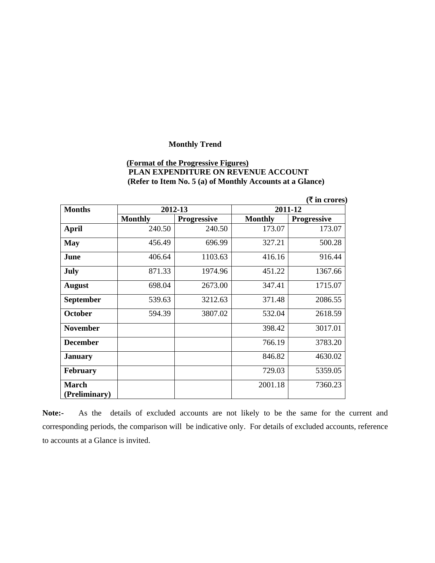# **(Format of the Progressive Figures) PLAN EXPENDITURE ON REVENUE ACCOUNT (Refer to Item No. 5 (a) of Monthly Accounts at a Glance)**

|                  |                |                    |                | (₹ in cross)       |
|------------------|----------------|--------------------|----------------|--------------------|
| <b>Months</b>    | 2012-13        |                    |                | 2011-12            |
|                  | <b>Monthly</b> | <b>Progressive</b> | <b>Monthly</b> | <b>Progressive</b> |
| <b>April</b>     | 240.50         | 240.50             | 173.07         | 173.07             |
| <b>May</b>       | 456.49         | 696.99             | 327.21         | 500.28             |
| June             | 406.64         | 1103.63            | 416.16         | 916.44             |
| <b>July</b>      | 871.33         | 1974.96            | 451.22         | 1367.66            |
| <b>August</b>    | 698.04         | 2673.00            | 347.41         | 1715.07            |
| <b>September</b> | 539.63         | 3212.63            | 371.48         | 2086.55            |
| <b>October</b>   | 594.39         | 3807.02            | 532.04         | 2618.59            |
| <b>November</b>  |                |                    | 398.42         | 3017.01            |
| <b>December</b>  |                |                    | 766.19         | 3783.20            |
| <b>January</b>   |                |                    | 846.82         | 4630.02            |
| <b>February</b>  |                |                    | 729.03         | 5359.05            |
| <b>March</b>     |                |                    | 2001.18        | 7360.23            |
| (Preliminary)    |                |                    |                |                    |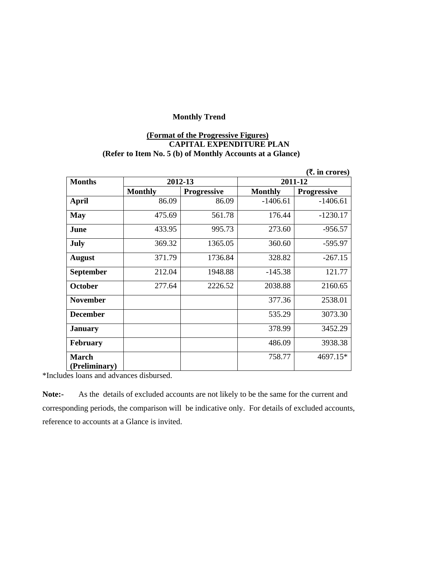# **(Format of the Progressive Figures) CAPITAL EXPENDITURE PLAN (Refer to Item No. 5 (b) of Monthly Accounts at a Glance)**

|                 |                |                    |                | (₹. in crores)     |
|-----------------|----------------|--------------------|----------------|--------------------|
| <b>Months</b>   | 2012-13        |                    |                | 2011-12            |
|                 | <b>Monthly</b> | <b>Progressive</b> | <b>Monthly</b> | <b>Progressive</b> |
| <b>April</b>    | 86.09          | 86.09              | $-1406.61$     | $-1406.61$         |
| <b>May</b>      | 475.69         | 561.78             | 176.44         | $-1230.17$         |
| June            | 433.95         | 995.73             | 273.60         | $-956.57$          |
| July            | 369.32         | 1365.05            | 360.60         | $-595.97$          |
| <b>August</b>   | 371.79         | 1736.84            | 328.82         | $-267.15$          |
| September       | 212.04         | 1948.88            | $-145.38$      | 121.77             |
| <b>October</b>  | 277.64         | 2226.52            | 2038.88        | 2160.65            |
| <b>November</b> |                |                    | 377.36         | 2538.01            |
| <b>December</b> |                |                    | 535.29         | 3073.30            |
| <b>January</b>  |                |                    | 378.99         | 3452.29            |
| <b>February</b> |                |                    | 486.09         | 3938.38            |
| <b>March</b>    |                |                    | 758.77         | 4697.15*           |
| (Preliminary)   |                |                    |                |                    |

\*Includes loans and advances disbursed.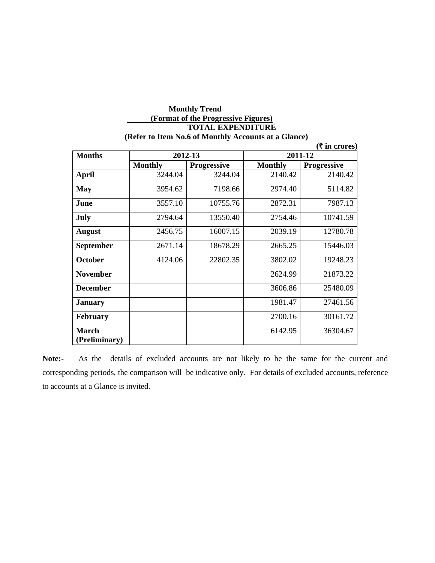#### **Monthly Trend (Format of the Progressive Figures) TOTAL EXPENDITURE (Refer to Item No.6 of Monthly Accounts at a Glance)**

|                        |                |                    |                | ( ₹ in cross)      |
|------------------------|----------------|--------------------|----------------|--------------------|
| <b>Months</b>          | 2012-13        |                    | 2011-12        |                    |
|                        | <b>Monthly</b> | <b>Progressive</b> | <b>Monthly</b> | <b>Progressive</b> |
| <b>April</b>           | 3244.04        | 3244.04            | 2140.42        | 2140.42            |
| <b>May</b>             | 3954.62        | 7198.66            | 2974.40        | 5114.82            |
| June                   | 3557.10        | 10755.76           | 2872.31        | 7987.13            |
| <b>July</b>            | 2794.64        | 13550.40           | 2754.46        | 10741.59           |
| <b>August</b>          | 2456.75        | 16007.15           | 2039.19        | 12780.78           |
| <b>September</b>       | 2671.14        | 18678.29           | 2665.25        | 15446.03           |
| <b>October</b>         | 4124.06        | 22802.35           | 3802.02        | 19248.23           |
| <b>November</b>        |                |                    | 2624.99        | 21873.22           |
| <b>December</b>        |                |                    | 3606.86        | 25480.09           |
| <b>January</b>         |                |                    | 1981.47        | 27461.56           |
| <b>February</b>        |                |                    | 2700.16        | 30161.72           |
| March<br>(Preliminary) |                |                    | 6142.95        | 36304.67           |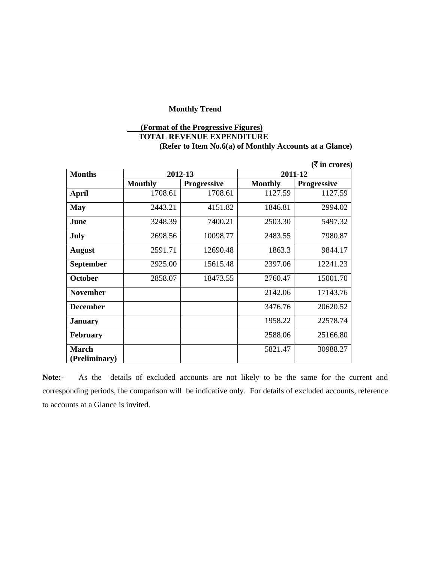# **(Format of the Progressive Figures) TOTAL REVENUE EXPENDITURE (Refer to Item No.6(a) of Monthly Accounts at a Glance)**

|                               |                |                    |                | ( ₹ in cross)      |
|-------------------------------|----------------|--------------------|----------------|--------------------|
| <b>Months</b>                 |                | 2012-13            | 2011-12        |                    |
|                               | <b>Monthly</b> | <b>Progressive</b> | <b>Monthly</b> | <b>Progressive</b> |
| <b>April</b>                  | 1708.61        | 1708.61            | 1127.59        | 1127.59            |
| <b>May</b>                    | 2443.21        | 4151.82            | 1846.81        | 2994.02            |
| June                          | 3248.39        | 7400.21            | 2503.30        | 5497.32            |
| July                          | 2698.56        | 10098.77           | 2483.55        | 7980.87            |
| <b>August</b>                 | 2591.71        | 12690.48           | 1863.3         | 9844.17            |
| <b>September</b>              | 2925.00        | 15615.48           | 2397.06        | 12241.23           |
| <b>October</b>                | 2858.07        | 18473.55           | 2760.47        | 15001.70           |
| <b>November</b>               |                |                    | 2142.06        | 17143.76           |
| <b>December</b>               |                |                    | 3476.76        | 20620.52           |
| <b>January</b>                |                |                    | 1958.22        | 22578.74           |
| <b>February</b>               |                |                    | 2588.06        | 25166.80           |
| <b>March</b><br>(Preliminary) |                |                    | 5821.47        | 30988.27           |

**Note:-** As the details of excluded accounts are not likely to be the same for the current and corresponding periods, the comparison will be indicative only. For details of excluded accounts, reference to accounts at a Glance is invited.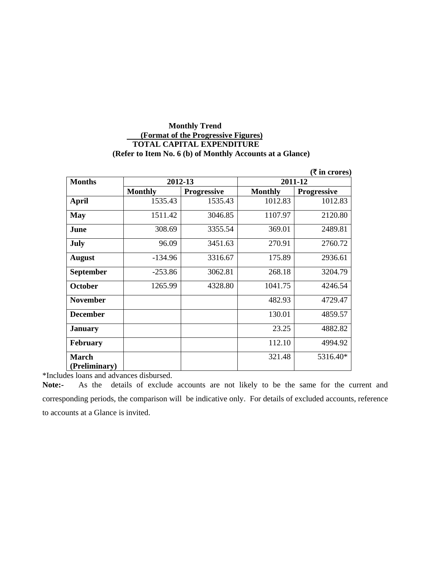#### **Monthly Trend (Format of the Progressive Figures) TOTAL CAPITAL EXPENDITURE (Refer to Item No. 6 (b) of Monthly Accounts at a Glance)**

|                 |                |                    |                | (₹ in crores)      |
|-----------------|----------------|--------------------|----------------|--------------------|
| <b>Months</b>   | 2012-13        |                    | 2011-12        |                    |
|                 | <b>Monthly</b> | <b>Progressive</b> | <b>Monthly</b> | <b>Progressive</b> |
| <b>April</b>    | 1535.43        | 1535.43            | 1012.83        | 1012.83            |
| <b>May</b>      | 1511.42        | 3046.85            | 1107.97        | 2120.80            |
| June            | 308.69         | 3355.54            | 369.01         | 2489.81            |
| <b>July</b>     | 96.09          | 3451.63            | 270.91         | 2760.72            |
| <b>August</b>   | $-134.96$      | 3316.67            | 175.89         | 2936.61            |
| September       | $-253.86$      | 3062.81            | 268.18         | 3204.79            |
| <b>October</b>  | 1265.99        | 4328.80            | 1041.75        | 4246.54            |
| <b>November</b> |                |                    | 482.93         | 4729.47            |
| <b>December</b> |                |                    | 130.01         | 4859.57            |
| <b>January</b>  |                |                    | 23.25          | 4882.82            |
| <b>February</b> |                |                    | 112.10         | 4994.92            |
| <b>March</b>    |                |                    | 321.48         | 5316.40*           |
| (Preliminary)   |                |                    |                |                    |

\*Includes loans and advances disbursed.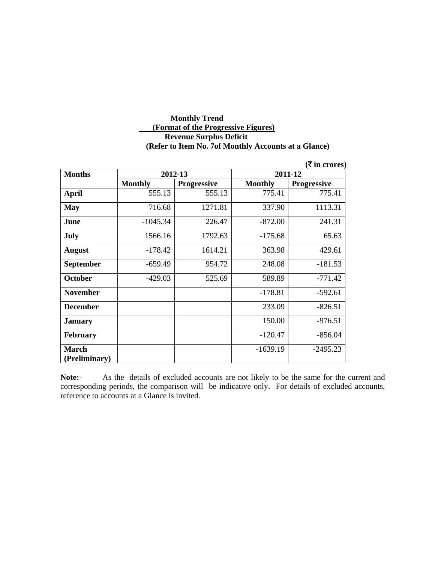# **Monthly Trend (Format of the Progressive Figures) Revenue Surplus Deficit (Refer to Item No. 7of Monthly Accounts at a Glance)**

| $(\bar{\bar{\mathbf{x}}}$ in crores) |                    |                |                    |  |  |
|--------------------------------------|--------------------|----------------|--------------------|--|--|
| 2012-13                              |                    | 2011-12        |                    |  |  |
| <b>Monthly</b>                       | <b>Progressive</b> | <b>Monthly</b> | <b>Progressive</b> |  |  |
| 555.13                               | 555.13             | 775.41         | 775.41             |  |  |
| 716.68                               | 1271.81            | 337.90         | 1113.31            |  |  |
| $-1045.34$                           | 226.47             | $-872.00$      | 241.31             |  |  |
| 1566.16                              | 1792.63            | $-175.68$      | 65.63              |  |  |
| $-178.42$                            | 1614.21            | 363.98         | 429.61             |  |  |
| $-659.49$                            | 954.72             | 248.08         | $-181.53$          |  |  |
| $-429.03$                            | 525.69             | 589.89         | $-771.42$          |  |  |
|                                      |                    | $-178.81$      | $-592.61$          |  |  |
|                                      |                    | 233.09         | $-826.51$          |  |  |
|                                      |                    | 150.00         | $-976.51$          |  |  |
|                                      |                    | $-120.47$      | $-856.04$          |  |  |
|                                      |                    | $-1639.19$     | $-2495.23$         |  |  |
|                                      |                    |                |                    |  |  |